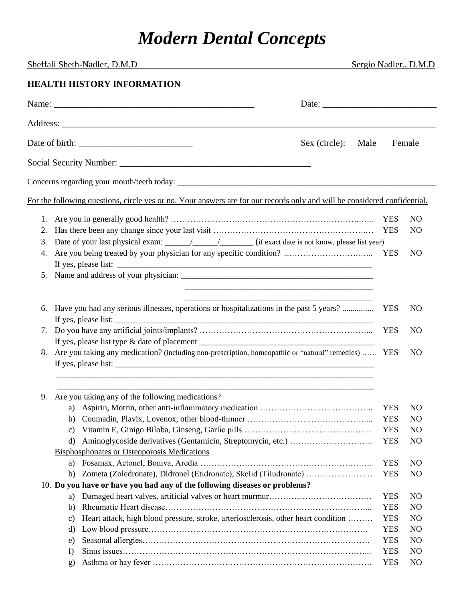## *Modern Dental Concepts*

| Sheffali Sheth-Nadler, D.M.D |                                                                                                                                                                                                                                                                                                                                                                                                                                                                              |      | Sergio Nadler., D.M.D                  |                                         |
|------------------------------|------------------------------------------------------------------------------------------------------------------------------------------------------------------------------------------------------------------------------------------------------------------------------------------------------------------------------------------------------------------------------------------------------------------------------------------------------------------------------|------|----------------------------------------|-----------------------------------------|
|                              | <b>HEALTH HISTORY INFORMATION</b>                                                                                                                                                                                                                                                                                                                                                                                                                                            |      |                                        |                                         |
|                              | Name: $\angle$<br>Date: $\frac{1}{\sqrt{1-\frac{1}{2}}\sqrt{1-\frac{1}{2}}\sqrt{1-\frac{1}{2}}\sqrt{1-\frac{1}{2}}\sqrt{1-\frac{1}{2}}\sqrt{1-\frac{1}{2}}\sqrt{1-\frac{1}{2}}\sqrt{1-\frac{1}{2}}\sqrt{1-\frac{1}{2}}\sqrt{1-\frac{1}{2}}\sqrt{1-\frac{1}{2}}\sqrt{1-\frac{1}{2}}\sqrt{1-\frac{1}{2}}\sqrt{1-\frac{1}{2}}\sqrt{1-\frac{1}{2}}\sqrt{1-\frac{1}{2}}\sqrt{1-\frac{1}{2}}\sqrt{1-\frac{1}{2}}\sqrt{1-\frac{1}{2}}$                                              |      |                                        |                                         |
|                              |                                                                                                                                                                                                                                                                                                                                                                                                                                                                              |      |                                        |                                         |
|                              | Sex (circle):                                                                                                                                                                                                                                                                                                                                                                                                                                                                | Male | Female                                 |                                         |
|                              |                                                                                                                                                                                                                                                                                                                                                                                                                                                                              |      |                                        |                                         |
|                              |                                                                                                                                                                                                                                                                                                                                                                                                                                                                              |      |                                        |                                         |
|                              | For the following questions, circle yes or no. Your answers are for our records only and will be considered confidential.                                                                                                                                                                                                                                                                                                                                                    |      |                                        |                                         |
| 1.<br>2.<br>3.<br>4.         | Date of your last physical exam: $\frac{1}{\sqrt{1-\frac{1}{\sqrt{1-\frac{1}{\sqrt{1-\frac{1}{\sqrt{1-\frac{1}{\sqrt{1-\frac{1}{\sqrt{1-\frac{1}{\sqrt{1-\frac{1}{\sqrt{1-\frac{1}{\sqrt{1-\frac{1}{\sqrt{1-\frac{1}{\sqrt{1-\frac{1}{\sqrt{1-\frac{1}{\sqrt{1-\frac{1}{\sqrt{1-\frac{1}{\sqrt{1-\frac{1}{\sqrt{1-\frac{1}{\sqrt{1-\frac{1}{\sqrt{1-\frac{1}{\sqrt{1-\frac{1}{\sqrt{1-\frac{1}{\sqrt$<br>Are you being treated by your physician for any specific condition? |      | <b>YES</b><br><b>YES</b><br><b>YES</b> | NO.<br>N <sub>O</sub><br>N <sub>O</sub> |
| 5.                           |                                                                                                                                                                                                                                                                                                                                                                                                                                                                              |      |                                        |                                         |
| 6.                           | Have you had any serious illnesses, operations or hospitalizations in the past 5 years?                                                                                                                                                                                                                                                                                                                                                                                      |      | <b>YES</b>                             | NO.                                     |
| 7.                           |                                                                                                                                                                                                                                                                                                                                                                                                                                                                              |      | <b>YES</b>                             | N <sub>O</sub>                          |
| 8.                           | Are you taking any medication? (including non-prescription, homeopathic or "natural" remedies)  YES                                                                                                                                                                                                                                                                                                                                                                          |      |                                        | N <sub>O</sub>                          |
| 9.                           | Are you taking any of the following medications?                                                                                                                                                                                                                                                                                                                                                                                                                             |      |                                        |                                         |
|                              | a)                                                                                                                                                                                                                                                                                                                                                                                                                                                                           |      | <b>YES</b>                             | N <sub>O</sub>                          |
|                              | b)                                                                                                                                                                                                                                                                                                                                                                                                                                                                           |      | <b>YES</b>                             | N <sub>O</sub>                          |
|                              | c)                                                                                                                                                                                                                                                                                                                                                                                                                                                                           |      | <b>YES</b>                             | N <sub>O</sub>                          |
|                              | d)                                                                                                                                                                                                                                                                                                                                                                                                                                                                           |      | <b>YES</b>                             | N <sub>O</sub>                          |
|                              | <b>Bisphosphonates or Osteoporosis Medications</b>                                                                                                                                                                                                                                                                                                                                                                                                                           |      | <b>YES</b>                             | N <sub>O</sub>                          |
|                              | a)<br>Zometa (Zoledronate), Didronel (Etidronate), Skelid (Tiludronate)<br>b)                                                                                                                                                                                                                                                                                                                                                                                                |      | <b>YES</b>                             | N <sub>O</sub>                          |
|                              | 10. Do you have or have you had any of the following diseases or problems?                                                                                                                                                                                                                                                                                                                                                                                                   |      |                                        |                                         |
|                              | a)                                                                                                                                                                                                                                                                                                                                                                                                                                                                           |      | <b>YES</b>                             | N <sub>O</sub>                          |
|                              | b)                                                                                                                                                                                                                                                                                                                                                                                                                                                                           |      | <b>YES</b>                             | N <sub>O</sub>                          |
|                              | Heart attack, high blood pressure, stroke, arteriosclerosis, other heart condition<br>c)                                                                                                                                                                                                                                                                                                                                                                                     |      | <b>YES</b>                             | N <sub>O</sub>                          |
|                              | d)                                                                                                                                                                                                                                                                                                                                                                                                                                                                           |      | <b>YES</b>                             | N <sub>O</sub>                          |
|                              | e)                                                                                                                                                                                                                                                                                                                                                                                                                                                                           |      | <b>YES</b>                             | N <sub>O</sub>                          |
|                              | f)                                                                                                                                                                                                                                                                                                                                                                                                                                                                           |      | <b>YES</b>                             | N <sub>O</sub>                          |
|                              | $g$ )                                                                                                                                                                                                                                                                                                                                                                                                                                                                        |      | <b>YES</b>                             | N <sub>O</sub>                          |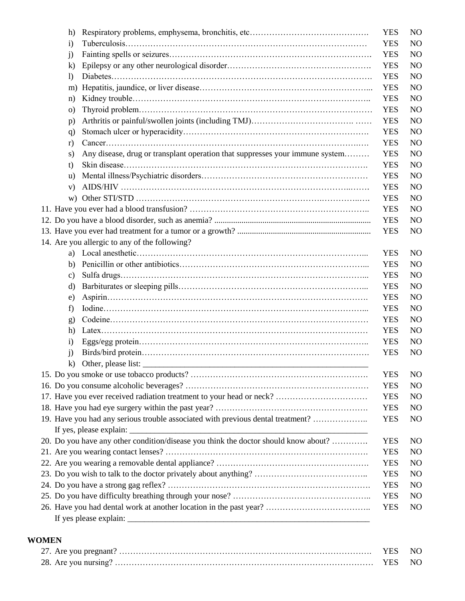|  | h)               |                                                                                     | <b>YES</b> | N <sub>O</sub> |
|--|------------------|-------------------------------------------------------------------------------------|------------|----------------|
|  | $\mathbf{i}$     |                                                                                     | <b>YES</b> | N <sub>O</sub> |
|  | j)               |                                                                                     | <b>YES</b> | N <sub>O</sub> |
|  | $\bf k)$         |                                                                                     | <b>YES</b> | N <sub>O</sub> |
|  | $\left( \right)$ |                                                                                     | <b>YES</b> | N <sub>O</sub> |
|  | m)               |                                                                                     | <b>YES</b> | N <sub>O</sub> |
|  | n)               |                                                                                     | <b>YES</b> | N <sub>O</sub> |
|  | $\circ$ )        |                                                                                     | <b>YES</b> | N <sub>O</sub> |
|  | p)               |                                                                                     | <b>YES</b> | N <sub>O</sub> |
|  | q)               |                                                                                     | <b>YES</b> | N <sub>O</sub> |
|  | r)               |                                                                                     | <b>YES</b> | N <sub>O</sub> |
|  | S)               | Any disease, drug or transplant operation that suppresses your immune system        | <b>YES</b> | N <sub>O</sub> |
|  | t)               |                                                                                     | <b>YES</b> | N <sub>O</sub> |
|  | $\mathbf{u}$     |                                                                                     | <b>YES</b> | N <sub>O</sub> |
|  | V)               |                                                                                     | <b>YES</b> | N <sub>O</sub> |
|  | W)               |                                                                                     | <b>YES</b> | N <sub>O</sub> |
|  |                  |                                                                                     | <b>YES</b> | N <sub>O</sub> |
|  |                  |                                                                                     | <b>YES</b> | N <sub>O</sub> |
|  |                  |                                                                                     | <b>YES</b> | N <sub>O</sub> |
|  |                  | 14. Are you allergic to any of the following?                                       |            |                |
|  | a)               |                                                                                     | <b>YES</b> | N <sub>O</sub> |
|  | b)               |                                                                                     | <b>YES</b> | N <sub>O</sub> |
|  | c)               |                                                                                     | <b>YES</b> | N <sub>O</sub> |
|  | d)               |                                                                                     | <b>YES</b> | N <sub>O</sub> |
|  | e)               |                                                                                     | <b>YES</b> | N <sub>O</sub> |
|  | f)               |                                                                                     | <b>YES</b> | N <sub>O</sub> |
|  | g)               |                                                                                     | <b>YES</b> | N <sub>O</sub> |
|  | h)               |                                                                                     | <b>YES</b> | N <sub>O</sub> |
|  | $\rm i)$         |                                                                                     | <b>YES</b> | N <sub>O</sub> |
|  | $\mathbf{j}$     |                                                                                     | <b>YES</b> | N <sub>O</sub> |
|  | $\bf k$          | Other, please list:                                                                 |            |                |
|  |                  |                                                                                     | <b>YES</b> | N <sub>O</sub> |
|  |                  |                                                                                     | <b>YES</b> | N <sub>O</sub> |
|  |                  | 17. Have you ever received radiation treatment to your head or neck?                | <b>YES</b> | N <sub>O</sub> |
|  |                  |                                                                                     | <b>YES</b> | N <sub>O</sub> |
|  |                  | 19. Have you had any serious trouble associated with previous dental treatment?     | <b>YES</b> | N <sub>O</sub> |
|  |                  |                                                                                     |            |                |
|  |                  | 20. Do you have any other condition/disease you think the doctor should know about? | <b>YES</b> | N <sub>O</sub> |
|  |                  |                                                                                     | <b>YES</b> | N <sub>O</sub> |
|  |                  |                                                                                     | <b>YES</b> | N <sub>O</sub> |
|  |                  |                                                                                     | <b>YES</b> | N <sub>O</sub> |
|  |                  |                                                                                     | <b>YES</b> | N <sub>O</sub> |
|  |                  |                                                                                     | <b>YES</b> | N <sub>O</sub> |
|  |                  |                                                                                     | <b>YES</b> | N <sub>O</sub> |
|  |                  |                                                                                     |            |                |
|  |                  |                                                                                     |            |                |

## **WOMEN**

| YES NO |  |
|--------|--|
|        |  |